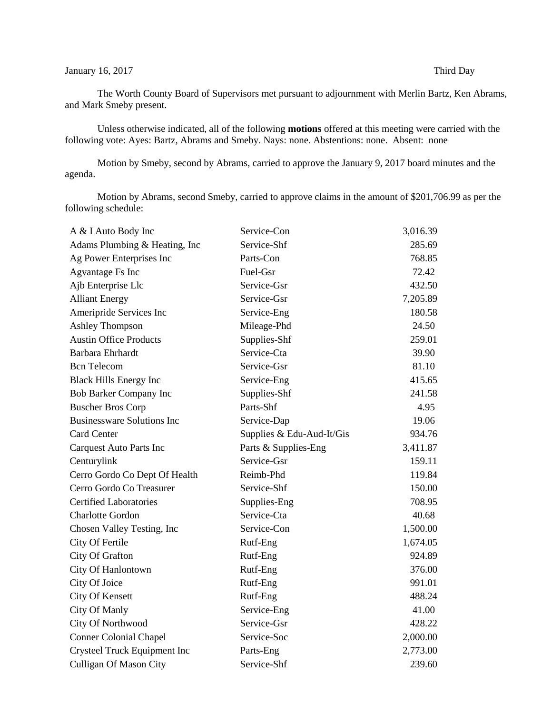## January 16, 2017 Third Day

The Worth County Board of Supervisors met pursuant to adjournment with Merlin Bartz, Ken Abrams, and Mark Smeby present.

Unless otherwise indicated, all of the following **motions** offered at this meeting were carried with the following vote: Ayes: Bartz, Abrams and Smeby. Nays: none. Abstentions: none. Absent: none

Motion by Smeby, second by Abrams, carried to approve the January 9, 2017 board minutes and the agenda.

Motion by Abrams, second Smeby, carried to approve claims in the amount of \$201,706.99 as per the following schedule:

| A & I Auto Body Inc               | Service-Con               | 3,016.39 |
|-----------------------------------|---------------------------|----------|
| Adams Plumbing & Heating, Inc.    | Service-Shf               | 285.69   |
| Ag Power Enterprises Inc          | Parts-Con                 | 768.85   |
| Agvantage Fs Inc                  | Fuel-Gsr                  | 72.42    |
| Ajb Enterprise Llc                | Service-Gsr               | 432.50   |
| <b>Alliant Energy</b>             | Service-Gsr               | 7,205.89 |
| Ameripride Services Inc           | Service-Eng               | 180.58   |
| <b>Ashley Thompson</b>            | Mileage-Phd               | 24.50    |
| <b>Austin Office Products</b>     | Supplies-Shf              | 259.01   |
| Barbara Ehrhardt                  | Service-Cta               | 39.90    |
| <b>Bcn</b> Telecom                | Service-Gsr               | 81.10    |
| <b>Black Hills Energy Inc</b>     | Service-Eng               | 415.65   |
| Bob Barker Company Inc            | Supplies-Shf              | 241.58   |
| <b>Buscher Bros Corp</b>          | Parts-Shf                 | 4.95     |
| <b>Businessware Solutions Inc</b> | Service-Dap               | 19.06    |
| <b>Card Center</b>                | Supplies & Edu-Aud-It/Gis | 934.76   |
| <b>Carquest Auto Parts Inc</b>    | Parts & Supplies-Eng      | 3,411.87 |
| Centurylink                       | Service-Gsr               | 159.11   |
| Cerro Gordo Co Dept Of Health     | Reimb-Phd                 | 119.84   |
| Cerro Gordo Co Treasurer          | Service-Shf               | 150.00   |
| <b>Certified Laboratories</b>     | Supplies-Eng              | 708.95   |
| <b>Charlotte Gordon</b>           | Service-Cta               | 40.68    |
| Chosen Valley Testing, Inc        | Service-Con               | 1,500.00 |
| City Of Fertile                   | Rutf-Eng                  | 1,674.05 |
| City Of Grafton                   | Rutf-Eng                  | 924.89   |
| City Of Hanlontown                | Rutf-Eng                  | 376.00   |
| City Of Joice                     | Rutf-Eng                  | 991.01   |
| <b>City Of Kensett</b>            | Rutf-Eng                  | 488.24   |
| City Of Manly                     | Service-Eng               | 41.00    |
| City Of Northwood                 | Service-Gsr               | 428.22   |
| <b>Conner Colonial Chapel</b>     | Service-Soc               | 2,000.00 |
| Crysteel Truck Equipment Inc      | Parts-Eng                 | 2,773.00 |
| <b>Culligan Of Mason City</b>     | Service-Shf               | 239.60   |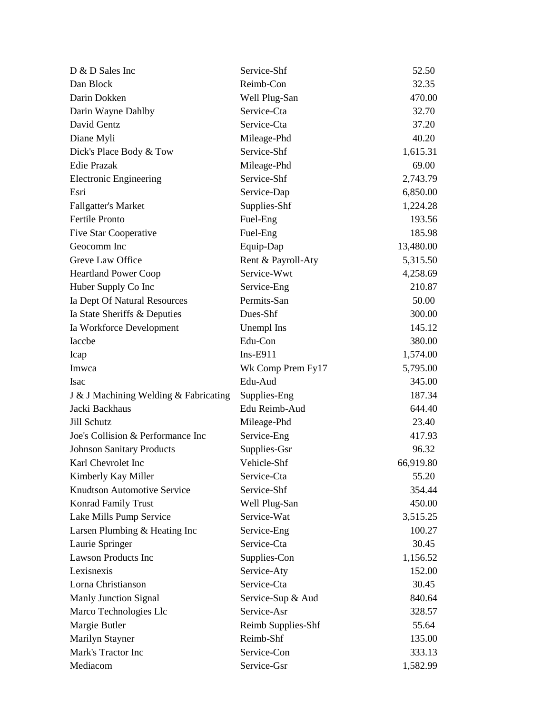| D & D Sales Inc                       | Service-Shf        | 52.50     |
|---------------------------------------|--------------------|-----------|
| Dan Block                             | Reimb-Con          | 32.35     |
| Darin Dokken                          | Well Plug-San      | 470.00    |
| Darin Wayne Dahlby                    | Service-Cta        | 32.70     |
| David Gentz                           | Service-Cta        | 37.20     |
| Diane Myli                            | Mileage-Phd        | 40.20     |
| Dick's Place Body & Tow               | Service-Shf        | 1,615.31  |
| <b>Edie Prazak</b>                    | Mileage-Phd        | 69.00     |
| <b>Electronic Engineering</b>         | Service-Shf        | 2,743.79  |
| Esri                                  | Service-Dap        | 6,850.00  |
| <b>Fallgatter's Market</b>            | Supplies-Shf       | 1,224.28  |
| Fertile Pronto                        | Fuel-Eng           | 193.56    |
| <b>Five Star Cooperative</b>          | Fuel-Eng           | 185.98    |
| Geocomm Inc                           | Equip-Dap          | 13,480.00 |
| Greve Law Office                      | Rent & Payroll-Aty | 5,315.50  |
| <b>Heartland Power Coop</b>           | Service-Wwt        | 4,258.69  |
| Huber Supply Co Inc                   | Service-Eng        | 210.87    |
| Ia Dept Of Natural Resources          | Permits-San        | 50.00     |
| Ia State Sheriffs & Deputies          | Dues-Shf           | 300.00    |
| Ia Workforce Development              | Unempl Ins         | 145.12    |
| Iaccbe                                | Edu-Con            | 380.00    |
| Icap                                  | $Ins-E911$         | 1,574.00  |
| Imwca                                 | Wk Comp Prem Fy17  | 5,795.00  |
| Isac                                  | Edu-Aud            | 345.00    |
| J & J Machining Welding & Fabricating | Supplies-Eng       | 187.34    |
| Jacki Backhaus                        | Edu Reimb-Aud      | 644.40    |
| Jill Schutz                           | Mileage-Phd        | 23.40     |
| Joe's Collision & Performance Inc     | Service-Eng        | 417.93    |
| <b>Johnson Sanitary Products</b>      | Supplies-Gsr       | 96.32     |
| Karl Chevrolet Inc                    | Vehicle-Shf        | 66,919.80 |
| Kimberly Kay Miller                   | Service-Cta        | 55.20     |
| <b>Knudtson Automotive Service</b>    | Service-Shf        | 354.44    |
| Konrad Family Trust                   | Well Plug-San      | 450.00    |
| Lake Mills Pump Service               | Service-Wat        | 3,515.25  |
| Larsen Plumbing & Heating Inc         | Service-Eng        | 100.27    |
| Laurie Springer                       | Service-Cta        | 30.45     |
| Lawson Products Inc                   | Supplies-Con       | 1,156.52  |
| Lexisnexis                            | Service-Aty        | 152.00    |
| Lorna Christianson                    | Service-Cta        | 30.45     |
| <b>Manly Junction Signal</b>          | Service-Sup & Aud  | 840.64    |
| Marco Technologies Llc                | Service-Asr        | 328.57    |
| Margie Butler                         | Reimb Supplies-Shf | 55.64     |
| Marilyn Stayner                       | Reimb-Shf          | 135.00    |
| Mark's Tractor Inc                    | Service-Con        | 333.13    |
| Mediacom                              | Service-Gsr        | 1,582.99  |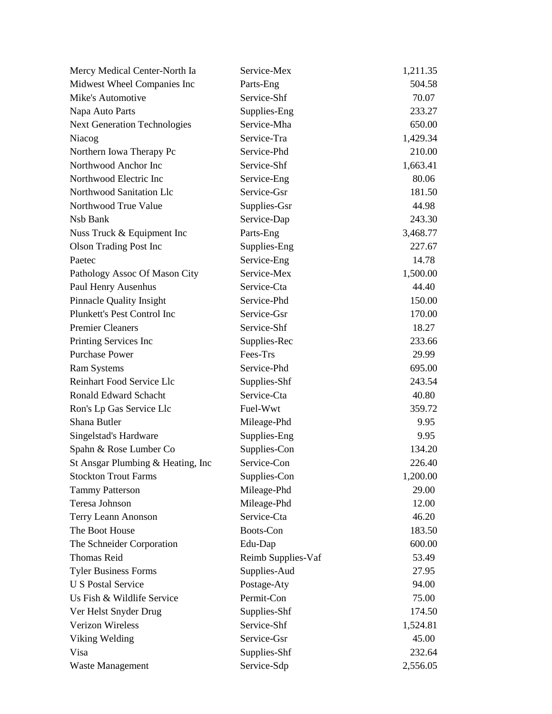| Mercy Medical Center-North Ia       | Service-Mex        | 1,211.35 |
|-------------------------------------|--------------------|----------|
| Midwest Wheel Companies Inc         | Parts-Eng          | 504.58   |
| Mike's Automotive                   | Service-Shf        | 70.07    |
| Napa Auto Parts                     | Supplies-Eng       | 233.27   |
| <b>Next Generation Technologies</b> | Service-Mha        | 650.00   |
| Niacog                              | Service-Tra        | 1,429.34 |
| Northern Iowa Therapy Pc            | Service-Phd        | 210.00   |
| Northwood Anchor Inc                | Service-Shf        | 1,663.41 |
| Northwood Electric Inc              | Service-Eng        | 80.06    |
| Northwood Sanitation Llc            | Service-Gsr        | 181.50   |
| Northwood True Value                | Supplies-Gsr       | 44.98    |
| Nsb Bank                            | Service-Dap        | 243.30   |
| Nuss Truck & Equipment Inc          | Parts-Eng          | 3,468.77 |
| <b>Olson Trading Post Inc</b>       | Supplies-Eng       | 227.67   |
| Paetec                              | Service-Eng        | 14.78    |
| Pathology Assoc Of Mason City       | Service-Mex        | 1,500.00 |
| Paul Henry Ausenhus                 | Service-Cta        | 44.40    |
| <b>Pinnacle Quality Insight</b>     | Service-Phd        | 150.00   |
| Plunkett's Pest Control Inc         | Service-Gsr        | 170.00   |
| <b>Premier Cleaners</b>             | Service-Shf        | 18.27    |
| Printing Services Inc               | Supplies-Rec       | 233.66   |
| <b>Purchase Power</b>               | Fees-Trs           | 29.99    |
| <b>Ram Systems</b>                  | Service-Phd        | 695.00   |
| Reinhart Food Service Llc           | Supplies-Shf       | 243.54   |
| <b>Ronald Edward Schacht</b>        | Service-Cta        | 40.80    |
| Ron's Lp Gas Service Llc            | Fuel-Wwt           | 359.72   |
| Shana Butler                        | Mileage-Phd        | 9.95     |
| Singelstad's Hardware               | Supplies-Eng       | 9.95     |
| Spahn & Rose Lumber Co              | Supplies-Con       | 134.20   |
| St Ansgar Plumbing & Heating, Inc.  | Service-Con        | 226.40   |
| <b>Stockton Trout Farms</b>         | Supplies-Con       | 1,200.00 |
| <b>Tammy Patterson</b>              | Mileage-Phd        | 29.00    |
| Teresa Johnson                      | Mileage-Phd        | 12.00    |
| Terry Leann Anonson                 | Service-Cta        | 46.20    |
| The Boot House                      | Boots-Con          | 183.50   |
| The Schneider Corporation           | Edu-Dap            | 600.00   |
| <b>Thomas Reid</b>                  | Reimb Supplies-Vaf | 53.49    |
| <b>Tyler Business Forms</b>         | Supplies-Aud       | 27.95    |
| <b>U S Postal Service</b>           | Postage-Aty        | 94.00    |
| Us Fish & Wildlife Service          | Permit-Con         | 75.00    |
| Ver Helst Snyder Drug               | Supplies-Shf       | 174.50   |
| Verizon Wireless                    | Service-Shf        | 1,524.81 |
| Viking Welding                      | Service-Gsr        | 45.00    |
| Visa                                | Supplies-Shf       | 232.64   |
| Waste Management                    | Service-Sdp        | 2,556.05 |